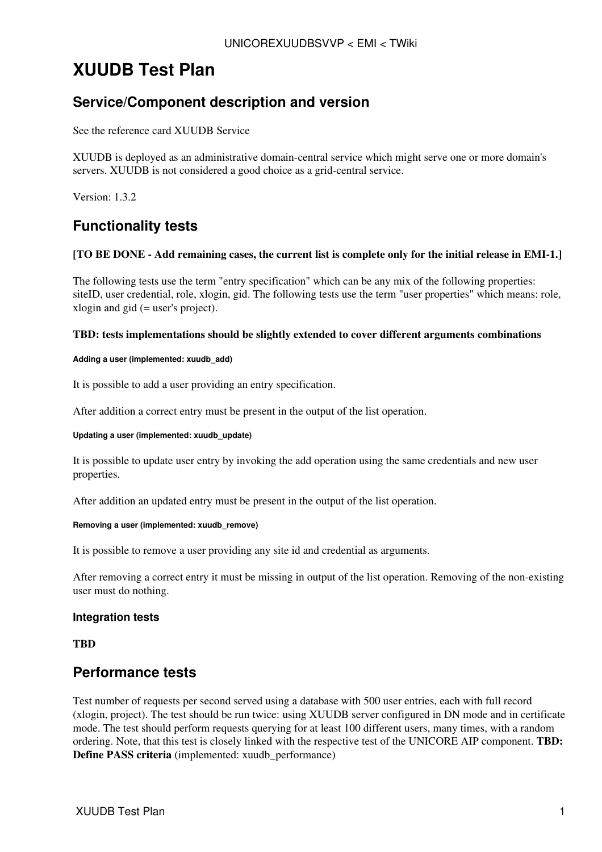# **XUUDB Test Plan**

### **Service/Component description and version**

See the reference card [XUUDB Service](https://twiki.cern.ch/twiki/bin/view/EMI/UNICOREXuudbSRC)

XUUDB is deployed as an administrative domain-central service which might serve one or more domain's servers. XUUDB is not considered a good choice as a grid-central service.

Version: 1.3.2

### **Functionality tests**

#### **[TO BE DONE - Add remaining cases, the current list is complete only for the initial release in EMI-1.]**

The following tests use the term "entry specification" which can be any mix of the following properties: siteID, user credential, role, xlogin, gid. The following tests use the term "user properties" which means: role, xlogin and gid (= user's project).

#### **TBD: tests implementations should be slightly extended to cover different arguments combinations**

#### **Adding a user (implemented: xuudb\_add)**

It is possible to add a user providing an entry specification.

After addition a correct entry must be present in the output of the list operation.

#### **Updating a user (implemented: xuudb\_update)**

It is possible to update user entry by invoking the add operation using the same credentials and new user properties.

After addition an updated entry must be present in the output of the list operation.

#### **Removing a user (implemented: xuudb\_remove)**

It is possible to remove a user providing any site id and credential as arguments.

After removing a correct entry it must be missing in output of the list operation. Removing of the non-existing user must do nothing.

#### **Integration tests**

**TBD**

### **Performance tests**

Test number of requests per second served using a database with 500 user entries, each with full record (xlogin, project). The test should be run twice: using XUUDB server configured in DN mode and in certificate mode. The test should perform requests querying for at least 100 different users, many times, with a random ordering. Note, that this test is closely linked with the respective test of the UNICORE AIP component. **TBD: Define PASS criteria** (implemented: xuudb performance)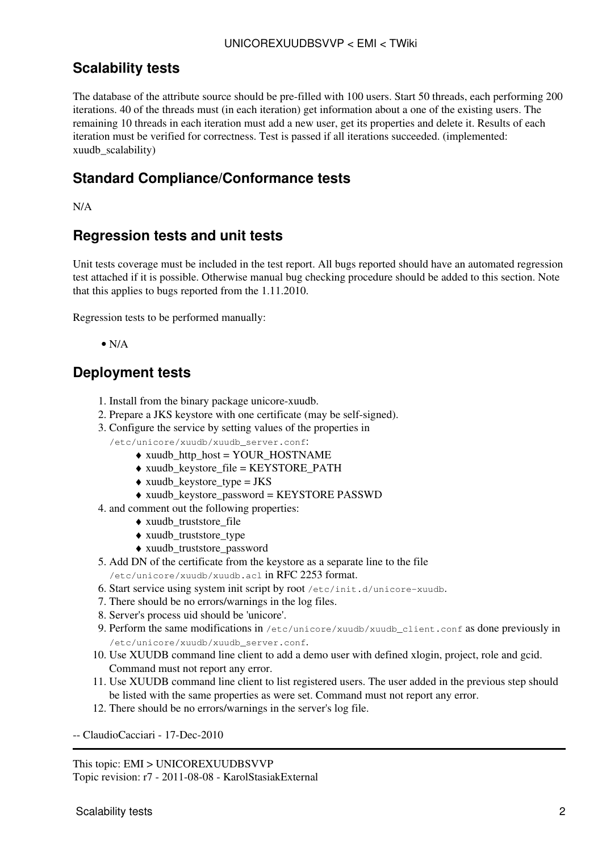## **Scalability tests**

The database of the attribute source should be pre-filled with 100 users. Start 50 threads, each performing 200 iterations. 40 of the threads must (in each iteration) get information about a one of the existing users. The remaining 10 threads in each iteration must add a new user, get its properties and delete it. Results of each iteration must be verified for correctness. Test is passed if all iterations succeeded. (implemented: xuudb\_scalability)

## **Standard Compliance/Conformance tests**

N/A

# **Regression tests and unit tests**

Unit tests coverage must be included in the test report. All bugs reported should have an automated regression test attached if it is possible. Otherwise manual bug checking procedure should be added to this section. Note that this applies to bugs reported from the 1.11.2010.

Regression tests to be performed manually:

 $\bullet$  N/A

### **Deployment tests**

- 1. Install from the binary package unicore-xuudb.
- 2. Prepare a JKS keystore with one certificate (may be self-signed).
- 3. Configure the service by setting values of the properties in
	- /etc/unicore/xuudb/xuudb\_server.conf:
		- ♦ xuudb\_http\_host = YOUR\_HOSTNAME
		- ♦ xuudb\_keystore\_file = KEYSTORE\_PATH
		- $\triangle$  xuudb keystore type = JKS
		- ♦ xuudb\_keystore\_password = KEYSTORE PASSWD
- 4. and comment out the following properties:
	- ♦ xuudb\_truststore\_file
	- ♦ xuudb\_truststore\_type
	- ♦ xuudb\_truststore\_password
- 5. Add DN of the certificate from the keystore as a separate line to the file /etc/unicore/xuudb/xuudb.acl in RFC 2253 format.
- 6. Start service using system init script by root /etc/init.d/unicore-xuudb.
- 7. There should be no errors/warnings in the log files.
- 8. Server's process uid should be 'unicore'.
- 9. Perform the same modifications in /etc/unicore/xuudb/xuudb\_client.conf as done previously in /etc/unicore/xuudb/xuudb\_server.conf.
- 10. Use XUUDB command line client to add a demo user with defined xlogin, project, role and gcid. Command must not report any error.
- 11. Use XUUDB command line client to list registered users. The user added in the previous step should be listed with the same properties as were set. Command must not report any error.
- 12. There should be no errors/warnings in the server's log file.

-- [ClaudioCacciari](https://twiki.cern.ch/twiki/bin/view/Main/ClaudioCacciari) - 17-Dec-2010

This topic: EMI > UNICOREXUUDBSVVP Topic revision: r7 - 2011-08-08 - KarolStasiakExternal